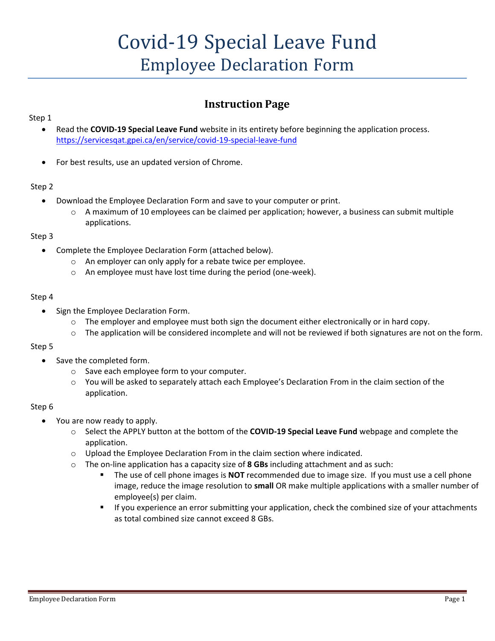# Covid-19 Special Leave Fund Employee Declaration Form

### **Instruction Page**

#### Step 1

- Read the **COVID-19 Special Leave Fund** website in its entirety before beginning the application process. <https://servicesqat.gpei.ca/en/service/covid-19-special-leave-fund>
- For best results, use an updated version of Chrome.

#### Step 2

- Download the Employee Declaration Form and save to your computer or print.
	- o A maximum of 10 employees can be claimed per application; however, a business can submit multiple applications.

#### Step 3

- Complete the Employee Declaration Form (attached below).
	- o An employer can only apply for a rebate twice per employee.
	- o An employee must have lost time during the period (one-week).

#### Step 4

- Sign the Employee Declaration Form.
	- $\circ$  The employer and employee must both sign the document either electronically or in hard copy.
	- $\circ$  The application will be considered incomplete and will not be reviewed if both signatures are not on the form.

#### Step 5

- Save the completed form.
	- o Save each employee form to your computer.
	- You will be asked to separately attach each Employee's Declaration From in the claim section of the application.

#### Step 6

- You are now ready to apply.
	- o Select the APPLY button at the bottom of the **COVID-19 Special Leave Fund** webpage and complete the application.
	- o Upload the Employee Declaration From in the claim section where indicated.
	- o The on-line application has a capacity size of **8 GBs** including attachment and as such:
		- The use of cell phone images is **NOT** recommended due to image size. If you must use a cell phone image, reduce the image resolution to **small** OR make multiple applications with a smaller number of employee(s) per claim.
		- If you experience an error submitting your application, check the combined size of your attachments as total combined size cannot exceed 8 GBs.